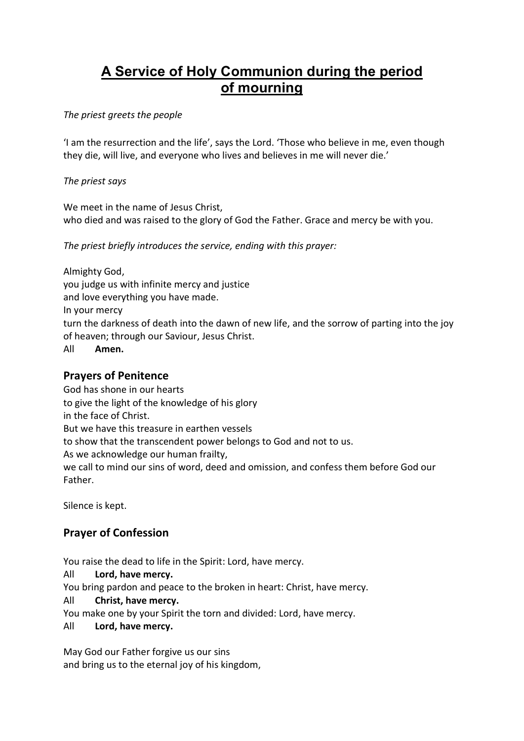# A Service of Holy Communion during the period of mourning

The priest greets the people

'I am the resurrection and the life', says the Lord. 'Those who believe in me, even though they die, will live, and everyone who lives and believes in me will never die.'

The priest says

We meet in the name of Jesus Christ, who died and was raised to the glory of God the Father. Grace and mercy be with you.

The priest briefly introduces the service, ending with this prayer:

Almighty God, you judge us with infinite mercy and justice and love everything you have made. In your mercy turn the darkness of death into the dawn of new life, and the sorrow of parting into the joy of heaven; through our Saviour, Jesus Christ. All Amen.

#### Prayers of Penitence

God has shone in our hearts to give the light of the knowledge of his glory in the face of Christ.

But we have this treasure in earthen vessels

to show that the transcendent power belongs to God and not to us.

As we acknowledge our human frailty,

we call to mind our sins of word, deed and omission, and confess them before God our Father.

Silence is kept.

# Prayer of Confession

You raise the dead to life in the Spirit: Lord, have mercy.

All Lord, have mercy.

You bring pardon and peace to the broken in heart: Christ, have mercy.

All Christ, have mercy.

You make one by your Spirit the torn and divided: Lord, have mercy.

All Lord, have mercy.

May God our Father forgive us our sins and bring us to the eternal joy of his kingdom,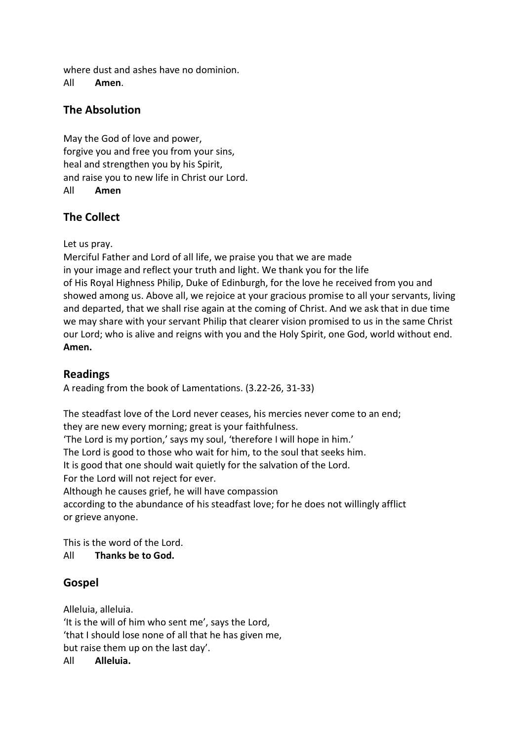where dust and ashes have no dominion.

All Amen.

# The Absolution

May the God of love and power, forgive you and free you from your sins, heal and strengthen you by his Spirit, and raise you to new life in Christ our Lord. All Amen

# The Collect

Let us pray.

Merciful Father and Lord of all life, we praise you that we are made in your image and reflect your truth and light. We thank you for the life of His Royal Highness Philip, Duke of Edinburgh, for the love he received from you and showed among us. Above all, we rejoice at your gracious promise to all your servants, living and departed, that we shall rise again at the coming of Christ. And we ask that in due time we may share with your servant Philip that clearer vision promised to us in the same Christ our Lord; who is alive and reigns with you and the Holy Spirit, one God, world without end. Amen.

# Readings

A reading from the book of Lamentations. (3.22-26, 31-33)

The steadfast love of the Lord never ceases, his mercies never come to an end; they are new every morning; great is your faithfulness.

'The Lord is my portion,' says my soul, 'therefore I will hope in him.'

The Lord is good to those who wait for him, to the soul that seeks him.

It is good that one should wait quietly for the salvation of the Lord.

For the Lord will not reject for ever.

Although he causes grief, he will have compassion

according to the abundance of his steadfast love; for he does not willingly afflict or grieve anyone.

This is the word of the Lord. All Thanks be to God.

# Gospel

Alleluia, alleluia. 'It is the will of him who sent me', says the Lord, 'that I should lose none of all that he has given me, but raise them up on the last day'. All Alleluia.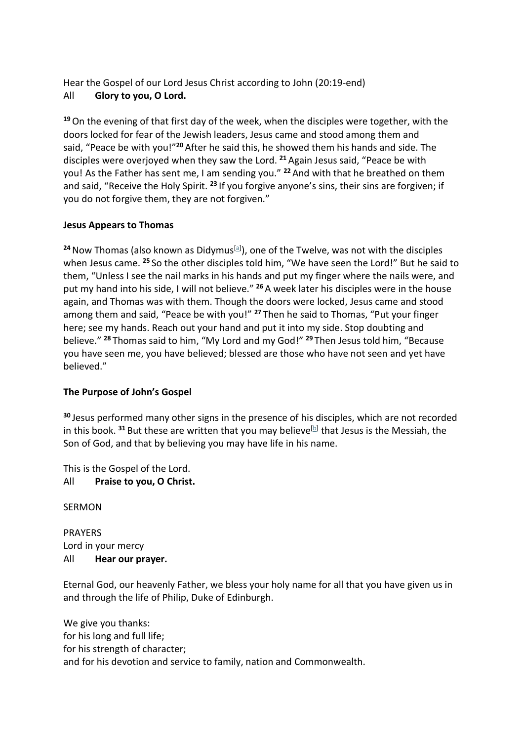Hear the Gospel of our Lord Jesus Christ according to John (20:19-end) All Glory to you, O Lord.

<sup>19</sup>On the evening of that first day of the week, when the disciples were together, with the doors locked for fear of the Jewish leaders, Jesus came and stood among them and said, "Peace be with you!"<sup>20</sup> After he said this, he showed them his hands and side. The disciples were overjoyed when they saw the Lord.  $21$  Again Jesus said, "Peace be with you! As the Father has sent me, I am sending you." <sup>22</sup> And with that he breathed on them and said, "Receive the Holy Spirit.<sup>23</sup> If you forgive anyone's sins, their sins are forgiven; if you do not forgive them, they are not forgiven."

#### Jesus Appears to Thomas

<sup>24</sup> Now Thomas (also known as Didymus<sup>[a]</sup>), one of the Twelve, was not with the disciples when Jesus came. <sup>25</sup> So the other disciples told him, "We have seen the Lord!" But he said to them, "Unless I see the nail marks in his hands and put my finger where the nails were, and put my hand into his side, I will not believe." <sup>26</sup> A week later his disciples were in the house again, and Thomas was with them. Though the doors were locked, Jesus came and stood among them and said, "Peace be with you!" <sup>27</sup> Then he said to Thomas, "Put your finger here; see my hands. Reach out your hand and put it into my side. Stop doubting and believe." <sup>28</sup> Thomas said to him, "My Lord and my God!" <sup>29</sup> Then Jesus told him, "Because you have seen me, you have believed; blessed are those who have not seen and yet have believed."

#### The Purpose of John's Gospel

<sup>30</sup> Jesus performed many other signs in the presence of his disciples, which are not recorded in this book. <sup>31</sup> But these are written that you may believe<sup>[b]</sup> that Jesus is the Messiah, the Son of God, and that by believing you may have life in his name.

This is the Gospel of the Lord. All Praise to you, O Christ.

**SERMON** 

PRAYERS Lord in your mercy All Hear our prayer.

Eternal God, our heavenly Father, we bless your holy name for all that you have given us in and through the life of Philip, Duke of Edinburgh.

We give you thanks: for his long and full life; for his strength of character; and for his devotion and service to family, nation and Commonwealth.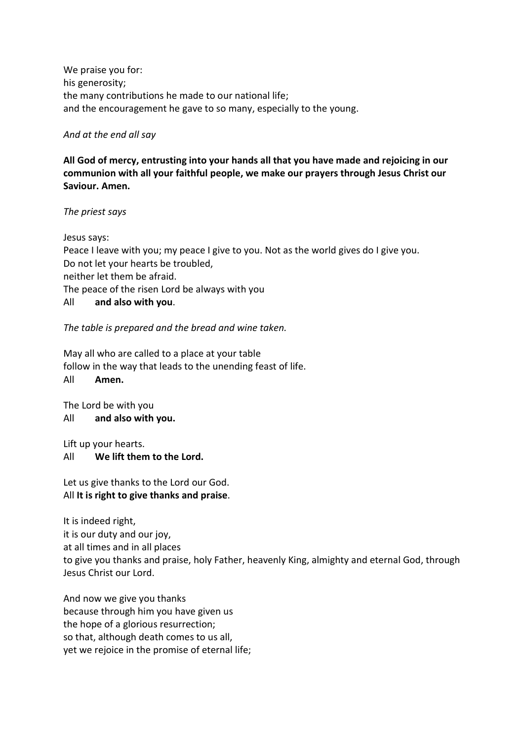We praise you for: his generosity; the many contributions he made to our national life; and the encouragement he gave to so many, especially to the young.

#### And at the end all say

All God of mercy, entrusting into your hands all that you have made and rejoicing in our communion with all your faithful people, we make our prayers through Jesus Christ our Saviour. Amen.

The priest says

Jesus says: Peace I leave with you; my peace I give to you. Not as the world gives do I give you. Do not let your hearts be troubled, neither let them be afraid. The peace of the risen Lord be always with you All and also with you.

The table is prepared and the bread and wine taken.

May all who are called to a place at your table follow in the way that leads to the unending feast of life. All Amen.

The Lord be with you All and also with you.

Lift up your hearts. All We lift them to the Lord.

Let us give thanks to the Lord our God. All It is right to give thanks and praise.

It is indeed right, it is our duty and our joy, at all times and in all places to give you thanks and praise, holy Father, heavenly King, almighty and eternal God, through Jesus Christ our Lord.

And now we give you thanks because through him you have given us the hope of a glorious resurrection; so that, although death comes to us all, yet we rejoice in the promise of eternal life;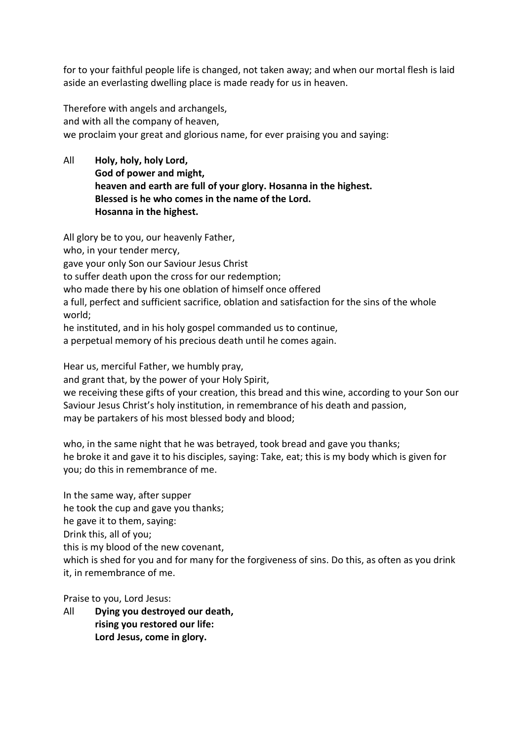for to your faithful people life is changed, not taken away; and when our mortal flesh is laid aside an everlasting dwelling place is made ready for us in heaven.

Therefore with angels and archangels, and with all the company of heaven, we proclaim your great and glorious name, for ever praising you and saying:

All Holy, holy, holy Lord, God of power and might, heaven and earth are full of your glory. Hosanna in the highest. Blessed is he who comes in the name of the Lord. Hosanna in the highest.

All glory be to you, our heavenly Father, who, in your tender mercy, gave your only Son our Saviour Jesus Christ to suffer death upon the cross for our redemption; who made there by his one oblation of himself once offered a full, perfect and sufficient sacrifice, oblation and satisfaction for the sins of the whole world;

he instituted, and in his holy gospel commanded us to continue,

a perpetual memory of his precious death until he comes again.

Hear us, merciful Father, we humbly pray,

and grant that, by the power of your Holy Spirit,

we receiving these gifts of your creation, this bread and this wine, according to your Son our Saviour Jesus Christ's holy institution, in remembrance of his death and passion, may be partakers of his most blessed body and blood;

who, in the same night that he was betrayed, took bread and gave you thanks; he broke it and gave it to his disciples, saying: Take, eat; this is my body which is given for you; do this in remembrance of me.

In the same way, after supper he took the cup and gave you thanks; he gave it to them, saying: Drink this, all of you; this is my blood of the new covenant, which is shed for you and for many for the forgiveness of sins. Do this, as often as you drink it, in remembrance of me.

Praise to you, Lord Jesus:

All Dying you destroyed our death, rising you restored our life: Lord Jesus, come in glory.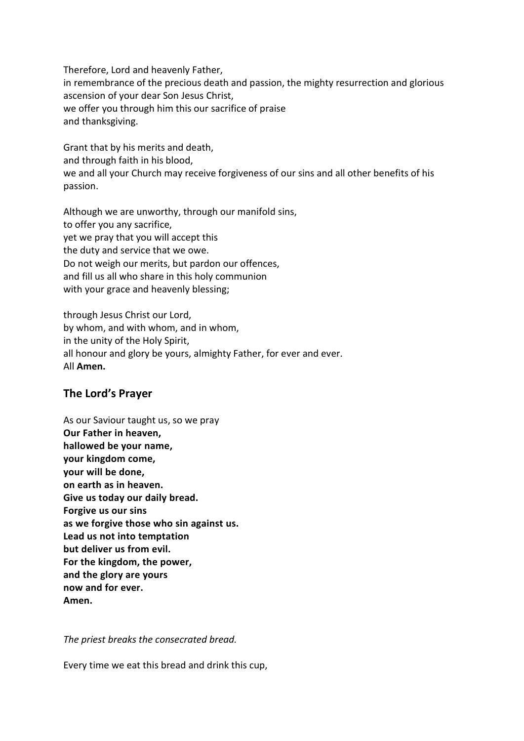Therefore, Lord and heavenly Father, in remembrance of the precious death and passion, the mighty resurrection and glorious ascension of your dear Son Jesus Christ, we offer you through him this our sacrifice of praise and thanksgiving.

Grant that by his merits and death, and through faith in his blood, we and all your Church may receive forgiveness of our sins and all other benefits of his passion.

Although we are unworthy, through our manifold sins, to offer you any sacrifice, yet we pray that you will accept this the duty and service that we owe. Do not weigh our merits, but pardon our offences, and fill us all who share in this holy communion with your grace and heavenly blessing;

through Jesus Christ our Lord, by whom, and with whom, and in whom, in the unity of the Holy Spirit, all honour and glory be yours, almighty Father, for ever and ever. All Amen.

#### The Lord's Prayer

As our Saviour taught us, so we pray Our Father in heaven, hallowed be your name, your kingdom come, your will be done, on earth as in heaven. Give us today our daily bread. Forgive us our sins as we forgive those who sin against us. Lead us not into temptation but deliver us from evil. For the kingdom, the power, and the glory are yours now and for ever. Amen.

The priest breaks the consecrated bread.

Every time we eat this bread and drink this cup,